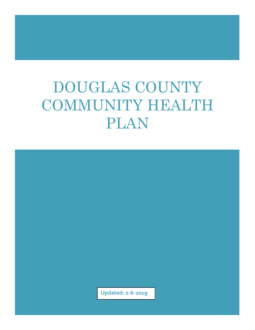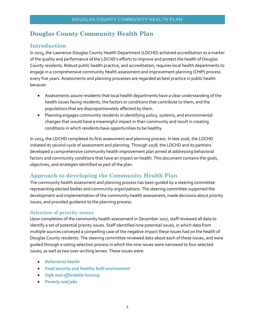## **Douglas County Community Health Plan**

#### **Introduction**

In 2015, the Lawrence-Douglas County Health Department (LDCHD) achieved accreditation as a marker of the quality and performance of the LDCHD's efforts to improve and protect the health of Douglas County residents. Robust public health practice, and accreditation, requires local health departments to engage in a comprehensive community health assessment and improvement planning (CHIP) process every five years. Assessments and planning processes are regarded as best practice in public health because:

- Assessments assure residents that local health departments have a clear understanding of the health issues facing residents, the factors or conditions that contribute to them, and the populations that are disproportionately affected by them.
- Planning engages community residents in identifying policy, systems, and environmental changes that would have a meaningful impact in their community and result in creating conditions in which residents have opportunities to be healthy.

In 2013, the LDCHD completed its first assessment and planning process. In late 2016, the LDCHD initiated its second cycle of assessment and planning. Through 2018, the LDCHD and its partners developed a comprehensive community health improvement plan aimed at addressing behavioral factors and community conditions that have an impact on health. This document contains the goals, objectives, and strategies identified as part of the plan.

## **Approach to developing the Community Health Plan**

The community health assessment and planning process has been guided by a steering committee representing elected bodies and community organizations. The steering committee supported the development and implementation of the community health assessment, made decisions about priority issues, and provided guidance to the planning process.

#### **Selection of priority issues**

Upon completion of the community health assessment in December 2017, staff reviewed all data to identify a set of potential priority issues. Staff identified nine potential issues, in which data from multiple sources conveyed a compelling case of the negative impact these issues had on the health of Douglas County residents. The steering committee reviewed data about each of these issues, and were guided through a voting selection process in which the nine issues were narrowed to four selected issues, as well as two over-arching lenses. These issues were:

- *Behavioral health*
- *Food security and healthy built environment*
- *Safe and affordable housing*
- *Poverty and jobs*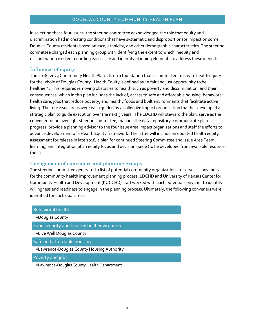In selecting these four issues, the steering committee acknowledged the role that equity and discrimination had in creating conditions that have systematic and disproportionate impact on some Douglas County residents based on race, ethnicity, and other demographic characteristics. The steering committee charged each planning group with identifying the extent to which inequity and discrimination existed regarding each issue and identify planning elements to address these inequities.

#### **Influence of equity**

The 2018- 2023 Community Health Plan sits on a foundation that is committed to create health equity for the whole of Douglas County. Health Equity is defined as "A fair and just opportunity to be healthier". This requires removing obstacles to health such as poverty and discrimination, and their consequences, which in this plan includes the lack of; access to safe and affordable housing, behavioral health care, jobs that reduce poverty, and healthy foods and built environments that facilitate active living. The four issue areas were each guided by a collective impact organization that has developed a strategic plan to guide execution over the next 5 years. The LDCHD will steward the plan, serve as the convener for an oversight steering committee, manage the data repository, communicate plan progress, provide a planning advisor to the four issue area impact organizations and staff the efforts to advance development of a Health Equity framework. The latter will include an updated health equity assessment for release in late 2018, a plan for continued Steering Committee and Issue Area Team learning, and integration of an equity focus and decision guide (to be developed from available resource tools).

#### **Engagement of conveners and planning groups**

The steering committee generated a list of potential community organizations to serve as conveners for the community health improvement planning process. LDCHD and University of Kansas Center for Community Health and Development (KUCCHD) staff worked with each potential convener to identify willingness and readiness to engage in the planning process. Ultimately, the following conveners were identified for each goal area:

| <b>Behavioral health</b>                    |
|---------------------------------------------|
| •Douglas County                             |
| Food security and healthy built environment |
| •Live Well Douglas County                   |
| Safe and affordable housing                 |
| •Lawrence-Douglas County Housing Authority  |
| Poverty and jobs                            |
| •Lawrence-Douglas County Health Department  |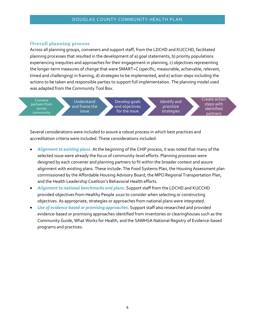#### **Overall planning process**

Across all planning groups, conveners and support staff, from the LDCHD and KUCCHD, facilitated planning processes that resulted in the development of a) goal statements, b) priority populations experiencing inequities and approaches for their engagement in planning, c) objectives representing the longer-term measures of change that were SMART+C (specific, measurable, achievable, relevant, timed and challenging) in framing, d) strategies to be implemented, and e) action steps including the actions to be taken and responsible parties to support full implementation. The planning model used was adapted from the Community Tool Box.



Several considerations were included to assure a robust process in which best practices and accreditation criteria were included. These considerations included:

- *Alignment to existing plans*. At the beginning of the CHIP process, it was noted that many of the selected issue were already the focus of community-level efforts. Planning processes were designed by each convener and planning partners to fit within the broader context and assure alignment with existing plans. These include: The Food Systems Plan, the Housing Assessment plan commissioned by the Affordable Housing Advisory Board, the MPO Regional Transportation Plan, and the Health Leadership Coalition's Behavioral Health efforts.
- *Alignment to national benchmarks and plans*. Support staff from the LDCHD and KUCCHD provided objectives from Healthy People 2020 to consider when selecting or constructing objectives. As appropriate, strategies or approaches from national plans were integrated.
- *Use of evidence based or promising approaches*. Support staff also researched and provided evidence-based or promising approaches identified from inventories or clearinghouses such as the Community Guide, What Works for Health, and the SAMHSA National Registry of Evidence-based programs and practices.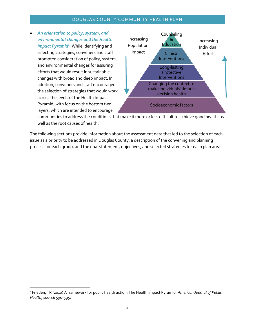*An orientation to policy, system, and environmental changes and the Health Impact Pyramid<sup>1</sup>* . While identifying and selecting strategies, conveners and staff prompted consideration of policy, system, and environmental changes for assuring efforts that would result in sustainable changes with broad and deep impact. In addition, conveners and staff encouraged the selection of strategies that would work across the levels of the Health Impact Pyramid, with focus on the bottom two layers, which are intended to encourage



communities to address the conditions that make it more or less difficult to achieve good health, as well as the root causes of health.

The following sections provide information about the assessment data that led to the selection of each issue as a priority to be addressed in Douglas County, a description of the convening and planning process for each group, and the goal statement, objectives, and selected strategies for each plan area.

<sup>1</sup> Frieden, TR (2010) A framework for public health action: The Health Impact Pyramid. *American Journal of Public Health*, 100(4): 590-595.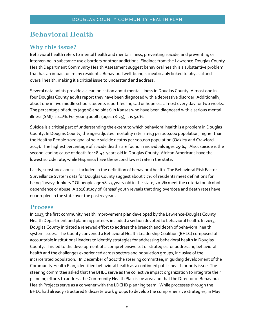# **Behavioral Health**

## **Why this issue?**

Behavioral health refers to mental health and mental illness, preventing suicide, and preventing or intervening in substance use disorders or other addictions. Findings from the Lawrence-Douglas County Health Department Community Health Assessment suggest behavioral health is a substantive problem that has an impact on many residents. Behavioral well-being is inextricably linked to physical and overall health, making it a critical issue to understand and address.

Several data points provide a clear indication about mental illness in Douglas County. Almost one in four Douglas County adults report they have been diagnosed with a depressive disorder. Additionally, about one in five middle school students report feeling sad or hopeless almost every day for two weeks. The percentage of adults (age 18 and older) in Kansas who have been diagnosed with a serious mental illness (SMI) is 4.1%. For young adults (ages 18-25), it is 5.0%.

Suicide is a critical part of understanding the extent to which behavioral health is a problem in Douglas County. In Douglas County, the age-adjusted mortality rate is 16.3 per 100,000 population, higher than the Healthy People 2020 goal of 10.2 suicide deaths per 100,000 population (Oakley and Crawford, 2017). The highest percentage of suicide deaths are found in individuals ages 25-64. Also, suicide is the second leading cause of death for 18-44-years old in Douglas County. African Americans have the lowest suicide rate, while Hispanics have the second lowest rate in the state.

Lastly, substance abuse is included in the definition of behavioral health. The Behavioral Risk Factor Surveillance System data for Douglas County suggest about 7.7% of residents meet definitions for being "heavy drinkers." Of people age 18-25 years-old in the state, 20.7% meet the criteria for alcohol dependence or abuse. A 2016 study of Kansas' youth reveals that drug overdose and death rates have quadrupled in the state over the past 12 years.

## **Process**

In 2013, the first community health improvement plan developed by the Lawrence-Douglas County Health Department and planning partners included a section devoted to behavioral health. In 2015, Douglas County initiated a renewed effort to address the breadth and depth of behavioral health system issues. The County convened a Behavioral Health Leadership Coalition (BHLC) composed of accountable institutional leaders to identify strategies for addressing behavioral health in Douglas County. This led to the development of a comprehensive set of strategies for addressing behavioral health and the challenges experienced across sectors and population groups, inclusive of the incarcerated population. In December of 2017 the steering committee, in guiding development of the Community Health Plan, identified behavioral health as a continued public health priority issue. The steering committee asked that the BHLC serve as the collective impact organization to integrate their planning efforts to address the Community Health Plan issue area and that the Director of Behavioral Health Projects serve as a convener with the LDCHD planning team. While processes through the BHLC had already structured 8 discrete work groups to develop the comprehensive strategies, in May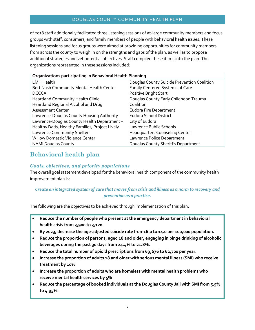of 2018 staff additionally facilitated three listening sessions of at-large community members and focus groups with staff, consumers, and family members of people with behavioral health issues. These listening sessions and focus groups were aimed at providing opportunities for community members from across the county to weigh in on the strengths and gaps of the plan, as well as to propose additional strategies and vet potential objectives. Staff compiled these items into the plan. The organizations represented in these sessions included:

| Organizations participating in Behavioral Health Planning |                                             |  |
|-----------------------------------------------------------|---------------------------------------------|--|
| <b>LMH Health</b>                                         | Douglas County Suicide Prevention Coalition |  |
| Bert Nash Community Mental Health Center                  | Family Centered Systems of Care             |  |
| <b>DCCCA</b>                                              | Positive Bright Start                       |  |
| Heartland Community Health Clinic                         | Douglas County Early Childhood Trauma       |  |
| Heartland Regional Alcohol and Drug                       | Coalition                                   |  |
| <b>Assessment Center</b>                                  | <b>Eudora Fire Department</b>               |  |
| Lawrence-Douglas County Housing Authority                 | <b>Eudora School District</b>               |  |
| Lawrence-Douglas County Health Department-                | City of Eudora                              |  |
| Healthy Dads, Healthy Families, Project Lively            | Lawrence Public Schools                     |  |
| Lawrence Community Shelter                                | <b>Headquarters Counseling Center</b>       |  |
| <b>Willow Domestic Violence Center</b>                    | Lawrence Police Department                  |  |
| <b>NAMI Douglas County</b>                                | Douglas County Sheriff's Department         |  |

## **Behavioral health plan**

#### *Goals, objectives, and priority populations*

The overall goal statement developed for the behavioral health component of the community health improvement plan is:

#### *Create an integrated system of care that moves from crisis and illness as a norm to recovery and prevention as a practice.*

The following are the objectives to be achieved through implementation of this plan:

- **Reduce the number of people who present at the emergency department in behavioral health crisis from 3,900 to 3,120.**
- **By 2023, decrease the age-adjusted suicide rate from16.0 to 14.0 per 100,000 population.**
- **Reduce the proportion of persons, aged 18 and older, engaging in binge drinking of alcoholic beverages during the past 30 days from 24.4% to 21.8%.**
- **Reduce the total number of opioid prescriptions from 69,676 to 62,700 per year.**
- **Increase the proportion of adults 18 and older with serious mental illness (SMI) who receive treatment by 10%**
- **Increase the proportion of adults who are homeless with mental health problems who receive mental health services by 5%**
- **Reduce the percentage of booked individuals at the Douglas County Jail with SMI from 5.5% to 4.95%.**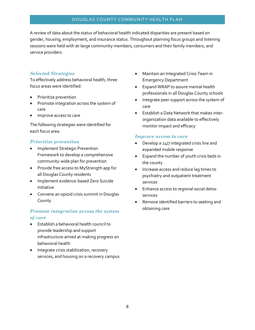A review of data about the status of behavioral health indicated disparities are present based on gender, housing, employment, and insurance status. Throughout planning focus groups and listening sessions were held with at-large community members, consumers and their family members, and service providers.

#### *Selected Strategies*

To effectively address behavioral health, three focus areas were identified:

- Prioritize prevention
- Promote integration across the system of care
- Improve access to care

The following strategies were identified for each focus area.

#### *Prioritize prevention*

- Implement Strategic Prevention Framework to develop a comprehensive community-wide plan for prevention
- Provide free access to MyStrength app for all Douglas County residents
- Implement evidence-based Zero Suicide Initiative
- Convene an opioid crisis summit in Douglas County

#### *Promote integration across the system of care*

- Establish a behavioral health council to provide leadership and support infrastructure aimed at making progress on behavioral health
- Integrate crisis stabilization, recovery services, and housing on a recovery campus
- Maintain an Integrated Crisis Team in Emergency Department
- Expand WRAP to assure mental health professionals in all Douglas County schools
- Integrate peer support across the system of care
- Establish a Data Network that makes interorganization data available to effectively monitor impact and efficacy

#### *Improve access to care*

- Develop a 24/7 integrated crisis line and expanded mobile response
- Expand the number of youth crisis beds in the county
- Increase access and reduce lag times to psychiatry and outpatient treatment services
- Enhance access to regional social detox services
- Remove identified barriers to seeking and obtaining care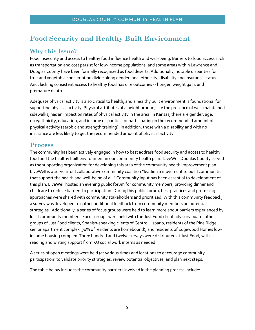# **Food Security and Healthy Built Environment**

## **Why this Issue?**

Food insecurity and access to healthy food influence health and well-being. Barriers to food access such as transportation and cost persist for low-income populations, and some areas within Lawrence and Douglas County have been formally recognized as food deserts. Additionally, notable disparities for fruit and vegetable consumption divide along gender, age, ethnicity, disability and insurance status. And, lacking consistent access to healthy food has dire outcomes -- hunger, weight gain, and premature death.

Adequate physical activity is also critical to health, and a healthy built environment is foundational for supporting physical activity. Physical attributes of a neighborhood, like the presence of well-maintained sidewalks, has an impact on rates of physical activity in the area. In Kansas, there are gender, age, race/ethnicity, education, and income disparities for participating in the recommended amount of physical activity (aerobic and strength training). In addition, those with a disability and with no insurance are less likely to get the recommended amount of physical activity.

## **Process**

The community has been actively engaged in how to best address food security and access to healthy food and the healthy built environment in our community health plan. LiveWell Douglas County served as the supporting organization for developing this area of the community health improvement plan. LiveWell is a 10-year-old collaborative community coalition "leading a movement to build communities that support the health and well-being of all." Community input has been essential to development of this plan. LiveWell hosted an evening public forum for community members, providing dinner and childcare to reduce barriers to participation. During this public forum, best practices and promising approaches were shared with community stakeholders and prioritized. With this community feedback, a survey was developed to gather additional feedback from community members on potential strategies. Additionally, a series of focus groups were held to learn more about barriers experienced by local community members. Focus groups were held with the Just Food client advisory board, other groups of Just Food clients, Spanish-speaking clients of Centro Hispano, residents of the Pine Ridge senior apartment complex (70% of residents are homebound), and residents of Edgewood Homes lowincome housing complex. Three hundred and twelve surveys were distributed at Just Food, with reading and writing support from KU social work interns as needed.

A series of open meetings were held (at various times and locations to encourage community participation) to validate priority strategies, review potential objectives, and plan next steps.

The table below includes the community partners involved in the planning process include**:**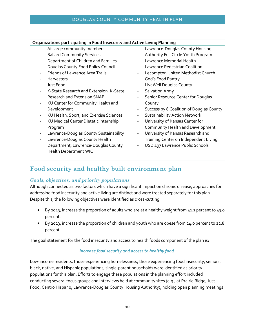#### **Organizations participating in Food Insecurity and Active Living Planning**

- At-large community members
- Ballard Community Services
- Department of Children and Families
- Douglas County Food Policy Council
- Friends of Lawrence Area Trails
- **Harvesters**
- Just Food
- K-State Research and Extension, K-State Research and Extension SNAP
- KU Center for Community Health and Development
- KU Health, Sport, and Exercise Sciences
- KU Medical Center Dietetic Internship Program
- Lawrence-Douglas County Sustainability
- Lawrence-Douglas County Health Department, Lawrence-Douglas County Health Department WIC
- Lawrence-Douglas County Housing Authority Full Circle Youth Program
- Lawrence Memorial Health
- Lawrence Pedestrian Coalition
- Lecompton United Methodist Church God's Food Pantry
- LiveWell Douglas County
- Salvation Army
- Senior Resource Center for Douglas County
- Success by 6 Coalition of Douglas County
- Sustainability Action Network
- University of Kansas Center for Community Health and Development
- University of Kansas Research and Training Center on Independent Living
- USD 497 Lawrence Public Schools

## **Food security and healthy built environment plan**

#### *Goals, objectives, and priority populations*

Although connected as two factors which have a significant impact on chronic disease, approaches for addressing food insecurity and active living are distinct and were treated separately for this plan. Despite this, the following objectives were identified as cross-cutting:

- By 2023, increase the proportion of adults who are at a healthy weight from 41.1 percent to 43.0 percent.
- By 2023, increase the proportion of children and youth who are obese from 24.0 percent to 22.8 percent.

The goal statement for the food insecurity and access to health foods component of the plan is:

#### *Increase food security and access to healthy food.*

Low-income residents, those experiencing homelessness, those experiencing food insecurity, seniors, black, native, and Hispanic populations, single-parent households were identified as priority populations for this plan. Efforts to engage these populations in the planning effort included conducting several focus groups and interviews held at community sites (e.g., at Prairie Ridge, Just Food, Centro Hispano, Lawrence-Douglas County Housing Authority), holding open planning meetings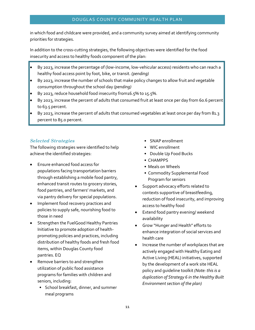in which food and childcare were provided, and a community survey aimed at identifying community priorities for strategies.

In addition to the cross-cutting strategies, the following objectives were identified for the food insecurity and access to healthy foods component of the plan:

- By 2023, increase the percentage of (low-income, low-vehicular access) residents who can reach a healthy food access point by foot, bike, or transit. *(pending)*
- By 2023, increase the number of schools that make policy changes to allow fruit and vegetable consumption throughout the school day *(pending)*
- By 2023, reduce household food insecurity from16.5% to 15.5%.
- By 2023, increase the percent of adults that consumed fruit at least once per day from 60.6 percent to 63.5 percent.
- By 2023, increase the percent of adults that consumed vegetables at least once per day from 81.3 percent to 85.0 percent.

#### *Selected Strategies*

The following strategies were identified to help achieve the identified strategies:

- Ensure enhanced food access for populations facing transportation barriers through establishing a mobile food pantry, enhanced transit routes to grocery stories, food pantries, and farmers' markets, and via pantry delivery for special populations.
- Implement food recovery practices and policies to supply safe, nourishing food to those in need
- Strengthen the FuelGood Healthy Pantries Initiative to promote adoption of healthpromoting policies and practices, including distribution of healthy foods and fresh food items, within Douglas County food pantries. EQ
- Remove barriers to and strengthen utilization of public food assistance programs for families with children and seniors, including:
	- School breakfast, dinner, and summer meal programs
- SNAP enrollment
- WIC enrollment
- Double Up Food Bucks
- CHAMPPS
- Meals on Wheels
- Commodity Supplemental Food Program for seniors
- Support advocacy efforts related to contexts supportive of breastfeeding, reduction of food insecurity, and improving access to healthy food
- Extend food pantry evening/ weekend availability
- Grow "Hunger and Health" efforts to enhance integration of social services and health care
- Increase the number of workplaces that are actively engaged with Healthy Eating and Active Living (HEAL) initiatives, supported by the development of a work site HEAL policy and guideline toolkit *(Note: this is a duplication of Strategy 6 in the Healthy Built Environment section of the plan)*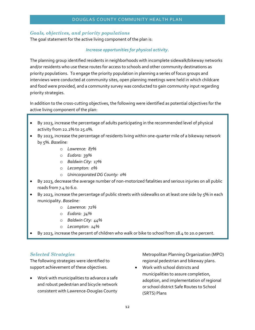#### *Goals, objectives, and priority populations*

The goal statement for the active living component of the plan is:

#### *Increase opportunities for physical activity.*

The planning group identified residents in neighborhoods with incomplete sidewalk/bikeway networks and/or residents who use these routes for access to schools and other community destinations as priority populations. To engage the priority population in planning a series of focus groups and interviews were conducted at community sites, open planning meetings were held in which childcare and food were provided, and a community survey was conducted to gain community input regarding priority strategies.

In addition to the cross-cutting objectives, the following were identified as potential objectives for the active living component of the plan:

- By 2023, increase the percentage of adults participating in the recommended level of physical activity from 22.2% to 25.0%.
- By 2023, increase the percentage of residents living within one-quarter mile of a bikeway network by 5%. *Baseline:* 
	- o *Lawrence: 87%*
	- o *Eudora: 39%*
	- o *Baldwin City: 17%*
	- o *Lecompton: 0%*
	- o *Unincorporated DG County: 0%*
- By 2023, decrease the average number of non-motorized fatalities and serious injuries on all public roads from 7.4 to 6.0.
- By 2023, increase the percentage of public streets with sidewalks on at least one side by 5% in each municipality. *Baseline:* 
	- o *Lawrence: 72%*
	- o *Eudora: 34%*
	- o *Baldwin City: 44%*
	- o *Lecompton: 14%*
- By 2023, increase the percent of children who walk or bike to school from 18.4 to 20.0 percent.

#### *Selected Strategies*

The following strategies were identified to support achievement of these objectives.

 Work with municipalities to advance a safe and robust pedestrian and bicycle network consistent with Lawrence-Douglas County

Metropolitan Planning Organization (MPO) regional pedestrian and bikeway plans.

 Work with school districts and municipalities to assure completion, adoption, and implementation of regional or school district Safe Routes to School (SRTS) Plans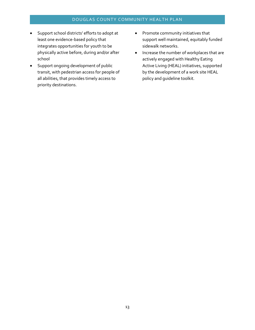- Support school districts' efforts to adopt at least one evidence-based policy that integrates opportunities for youth to be physically active before, during and/or after school
- Support ongoing development of public transit, with pedestrian access for people of all abilities, that provides timely access to priority destinations.
- Promote community initiatives that support well maintained, equitably funded sidewalk networks.
- Increase the number of workplaces that are actively engaged with Healthy Eating Active Living (HEAL) initiatives, supported by the development of a work site HEAL policy and guideline toolkit.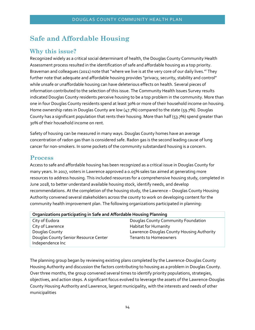# **Safe and Affordable Housing**

## **Why this issue?**

Recognized widely as a critical social determinant of health, the Douglas County Community Health Assessment process resulted in the identification of safe and affordable housing as a top priority. Braveman and colleagues (2011) note that "where we live is at the very core of our daily lives." They further note that adequate and affordable housing provides "privacy, security, stability and control" while unsafe or unaffordable housing can have deleterious effects on health. Several pieces of information contributed to the selection of this issue. The Community Health Issues Survey results indicated Douglas County residents perceive housing to be a top problem in the community. More than one in four Douglas County residents spend at least 30% or more of their household income on housing. Home ownership rates in Douglas County are low (47.7%) compared to the state (59.7%). Douglas County has a significant population that rents their housing. More than half (53.7%) spend greater than 30% of their household income on rent.

Safety of housing can be measured in many ways. Douglas County homes have an average concentration of radon gas than is considered safe. Radon gas is the second leading cause of lung cancer for non-smokers. In some pockets of the community substandard housing is a concern.

## **Process**

Access to safe and affordable housing has been recognized as a critical issue in Douglas County for many years. In 2017, voters in Lawrence approved a 0.05% sales tax aimed at generating more resources to address housing. This included resources for a comprehensive housing study, completed in June 2018, to better understand available housing stock, identify needs, and develop recommendations. At the completion of the housing study, the Lawrence – Douglas County Housing Authority convened several stakeholders across the county to work on developing content for the community health improvement plan. The following organizations participated in planning:

| Organizations participating in Safe and Affordable Housing Planning |                                           |  |
|---------------------------------------------------------------------|-------------------------------------------|--|
| City of Eudora                                                      | Douglas County Community Foundation       |  |
| City of Lawrence                                                    | <b>Habitat for Humanity</b>               |  |
| Douglas County                                                      | Lawrence-Douglas County Housing Authority |  |
| Douglas County Senior Resource Center                               | <b>Tenants to Homeowners</b>              |  |
| Independence Inc                                                    |                                           |  |

The planning group began by reviewing existing plans completed by the Lawrence-Douglas County Housing Authority and discussion the factors contributing to housing as a problem in Douglas County. Over three months, the group convened several times to identify priority populations, strategies, objectives, and action steps. A significant focus evolved to leverage the assets of the Lawrence-Douglas County Housing Authority and Lawrence, largest municipality, with the interests and needs of other municipalities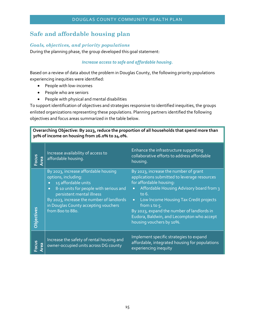## **Safe and affordable housing plan**

#### *Goals, objectives, and priority populations*

During the planning phase, the group developed this goal statement:

#### *Increase access to safe and affordable housing.*

Based on a review of data about the problem in Douglas County, the following priority populations experiencing inequities were identified:

- People with low-incomes
- People who are seniors
- People with physical and mental disabilities

To support identification of objectives and strategies responsive to identified inequities, the groups enlisted organizations representing these populations. Planning partners identified the following objectives and focus areas summarized in the table below.

**Overarching Objective: By 2023, reduce the proportion of all households that spend more than 30% of income on housing from 26.0% to 24.0%.**

| Focus<br>Area | Increase availability of access to<br>affordable housing.                                                                                                                                                                                                                                    | Enhance the infrastructure supporting<br>collaborative efforts to address affordable<br>housing.                                                                                                                                                                                                                                                                                      |
|---------------|----------------------------------------------------------------------------------------------------------------------------------------------------------------------------------------------------------------------------------------------------------------------------------------------|---------------------------------------------------------------------------------------------------------------------------------------------------------------------------------------------------------------------------------------------------------------------------------------------------------------------------------------------------------------------------------------|
| Objectives    | By 2023, increase affordable housing<br>options, including:<br>15 affordable units<br>$\bullet$<br>8-10 units for people with serious and<br>$\bullet$<br>persistent mental illness<br>By 2023, increase the number of landlords<br>in Douglas County accepting vouchers<br>from 800 to 880. | By 2023, increase the number of grant<br>applications submitted to leverage resources<br>for affordable housing:<br>Affordable Housing Advisory board from 3<br>$\bullet$<br>to 6.<br>Low Income Housing Tax Credit projects<br>$\bullet$<br>from $1$ to $5$ .<br>By 2023, expand the number of landlords in<br>Eudora, Baldwin, and Lecompton who accept<br>housing vouchers by 10%. |
| Focus<br>Area | Increase the safety of rental housing and<br>owner-occupied units across DG county                                                                                                                                                                                                           | Implement specific strategies to expand<br>affordable, integrated housing for populations<br>experiencing inequity                                                                                                                                                                                                                                                                    |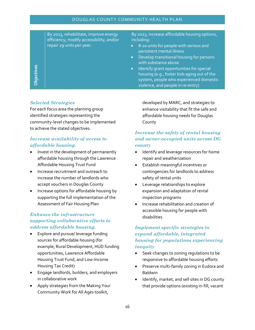By 2023, rehabilitate, improve energy efficiency, modify accessibility, and/or repair 29 units per year.

By 2023, increase affordable housing options, including:

- 8-10 units for people with serious and persistent mental illness
- Develop transitional housing for persons with substance abuse
- **•** Identify grant opportunities for special housing (e.g., foster kids aging out of the system, people who experienced domestic violence, and people in re-entry)

#### *Selected Strategies*

**Objectives**

For each focus area the planning group identified strategies representing the community-level changes to be implemented to achieve the stated objectives.

#### *Increase availability of access to affordable housing.*

- Invest in the development of permanently affordable housing through the Lawrence Affordable Housing Trust Fund
- Increase recruitment and outreach to increase the number of landlords who accept vouchers in Douglas County
- Increase options for affordable housing by supporting the full implementation of the Assessment of Fair Housing Plan

#### *Enhance the infrastructure supporting collaborative efforts to address affordable housing.*

- Explore and pursue/ leverage funding sources for affordable housing (for example, Rural Development, HUD funding opportunities, Lawrence Affordable Housing Trust Fund, and Low-Income Housing Tax Credit)
- Engage landlords, builders, and employers in collaborative work
- Apply strategies from the Making Your Community Work for All Ages toolkit,

developed by MARC, and strategies to enhance visitability that fit the safe and affordable housing needs for Douglas County

#### *Increase the safety of rental housing and owner-occupied units across DG county*

- Identify and leverage resources for home repair and weatherization
- Establish meaningful incentives or contingencies for landlords to address safety of rental units
- Leverage relationships to explore expansion and adaptation of rental inspection programs
- **•** Increase rehabilitation and creation of accessible housing for people with disabilities

#### *Implement specific strategies to expand affordable, integrated housing for populations experiencing inequity*

- Seek changes to zoning regulations to be responsive to affordable housing efforts
- **•** Preserve multi-family zoning in Eudora and Baldwin
- Identify, market, and sell sites in DG county that provide options (existing in-fill, vacant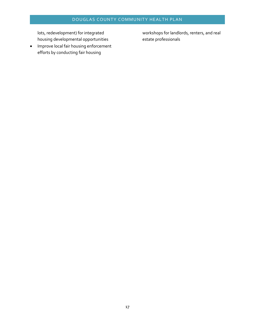lots, redevelopment) for integrated housing developmental opportunities

• Improve local fair housing enforcement efforts by conducting fair housing

workshops for landlords, renters, and real estate professionals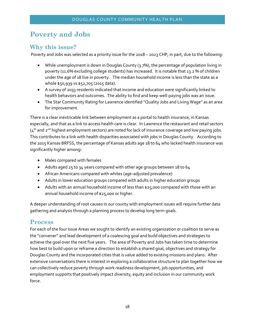# **Poverty and Jobs**

## **Why this issue?**

Poverty and Jobs was selected as a priority issue for the 2018 – 2023 CHP, in part, due to the following:

- While unemployment is down in Douglas County (3.7%), the percentage of population living in poverty (11.6% excluding college students) has increased. It is notable that 13.2 % of children under the age of 18 live in poverty. The median household income is less than the state as a whole \$50,939 vs \$52,705 (2015 data).
- A survey of 2033 residents indicated that income and education were significantly linked to health behaviors and outcomes. The ability to find and keep well-paying jobs was an issue.
- The Star Community Rating for Lawrence identified "Quality Jobs and Living Wage" as an area for improvement.

There is a clear inextricable link between employment as a portal to health insurance, in Kansas especially, and that as a link to access health care is clear. In Lawrence the restaurant and retail sectors  $(4<sup>th</sup>$  and  $2<sup>nd</sup>$  highest employment sectors) are noted for lack of insurance coverage and low paying jobs. This contributes to a link with health disparities associated with jobs in Douglas County. According to the 2015 Kansas BRFSS, the percentage of Kansas adults age 18 to 64 who lacked health insurance was significantly higher among**:** 

- Males compared with females
- Adults aged 25 to 34 years compared with other age groups between 18 to 64
- African Americans compared with whites (age-adjusted prevalence)
- Adults in lower education groups compared with adults in higher education groups
- Adults with an annual household income of less than \$25,000 compared with those with an annual household income of \$25,000 or higher.

A deeper understanding of root causes in our county with employment issues will require further data gathering and analysis through a planning process to develop long term goals.

## **Process**

For each of the four Issue Areas we sought to identify an existing organization or coalition to serve as the "convener" and lead development of a coalescing goal and build objectives and strategies to achieve the goal over the next five years. The area of Poverty and Jobs has taken time to determine how best to build upon or reframe a direction to establish a shared goal, objectives and strategy for Douglas County and the incorporated cities that is value added to existing missions and plans. After extensive conversations there is interest in exploring a collaborative structure to plan together how we can collectively reduce poverty through work readiness development, job opportunities, and employment supports that positively impact diversity, equity and inclusion in our community work force.